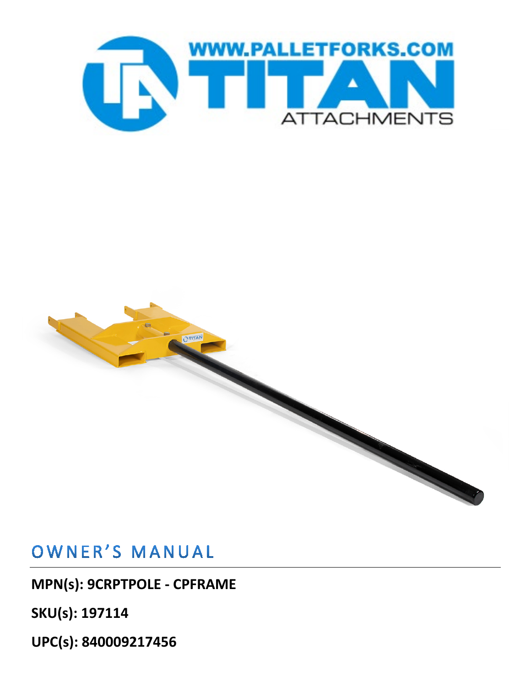

# **OTITAN**

## OWNER'S MANUAL

**MPN(s): 9CRPTPOLE - CPFRAME**

**SKU(s): 197114**

**UPC(s): 840009217456**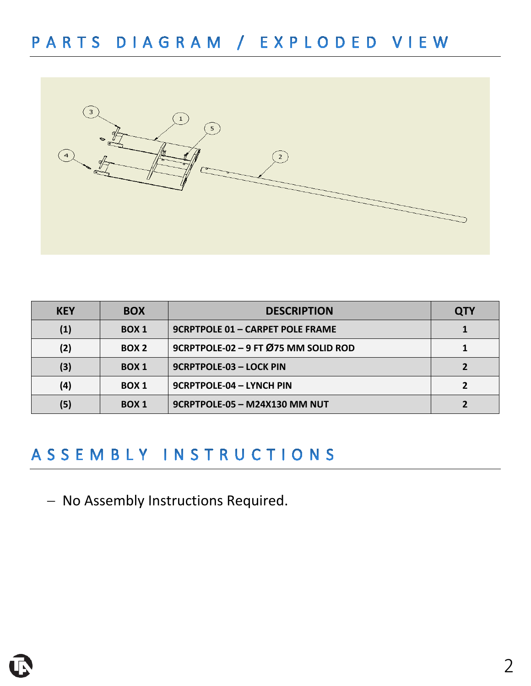

| <b>KEY</b> | <b>BOX</b>       | <b>DESCRIPTION</b>                      | QTY |
|------------|------------------|-----------------------------------------|-----|
|            | <b>BOX 1</b>     | <b>9CRPTPOLE 01 - CARPET POLE FRAME</b> |     |
| (2)        | BOX <sub>2</sub> | 9CRPTPOLE-02 - 9 FT Ø75 MM SOLID ROD    |     |
| (3)        | BOX <sub>1</sub> | 9CRPTPOLE-03 - LOCK PIN                 |     |
| (4)        | BOX <sub>1</sub> | 9CRPTPOLE-04 - LYNCH PIN                |     |
| (5)        | BOX <sub>1</sub> | 9CRPTPOLE-05 - M24X130 MM NUT           |     |

### ASSEMBLY INSTRUCTIONS

− No Assembly Instructions Required.